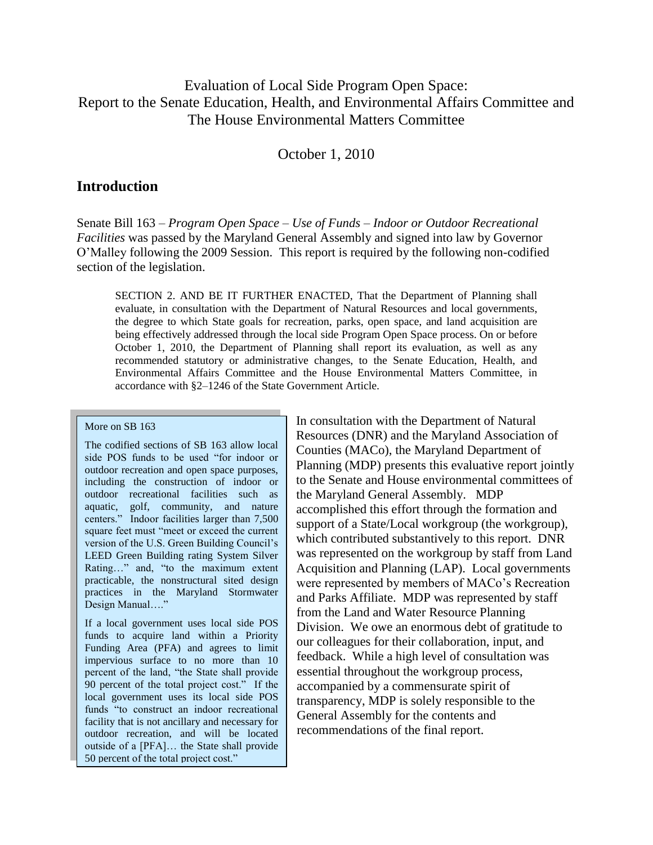## Evaluation of Local Side Program Open Space: Report to the Senate Education, Health, and Environmental Affairs Committee and The House Environmental Matters Committee

October 1, 2010

#### **Introduction**

Senate Bill 163 – *Program Open Space – Use of Funds – Indoor or Outdoor Recreational Facilities* was passed by the Maryland General Assembly and signed into law by Governor O'Malley following the 2009 Session. This report is required by the following non-codified section of the legislation.

SECTION 2. AND BE IT FURTHER ENACTED, That the Department of Planning shall evaluate, in consultation with the Department of Natural Resources and local governments, the degree to which State goals for recreation, parks, open space, and land acquisition are being effectively addressed through the local side Program Open Space process. On or before October 1, 2010, the Department of Planning shall report its evaluation, as well as any recommended statutory or administrative changes, to the Senate Education, Health, and Environmental Affairs Committee and the House Environmental Matters Committee, in accordance with §2–1246 of the State Government Article.

#### More on SB 163

The codified sections of SB 163 allow local side POS funds to be used "for indoor or outdoor recreation and open space purposes, including the construction of indoor or outdoor recreational facilities such as aquatic, golf, community, and nature centers.‖ Indoor facilities larger than 7,500 square feet must "meet or exceed the current version of the U.S. Green Building Council's LEED Green Building rating System Silver Rating..." and, "to the maximum extent practicable, the nonstructural sited design practices in the Maryland Stormwater Design Manual...."

If a local government uses local side POS funds to acquire land within a Priority Funding Area (PFA) and agrees to limit impervious surface to no more than 10 percent of the land, "the State shall provide" 90 percent of the total project cost." If the local government uses its local side POS funds "to construct an indoor recreational facility that is not ancillary and necessary for outdoor recreation, and will be located outside of a [PFA]… the State shall provide 50 percent of the total project cost."

In consultation with the Department of Natural Resources (DNR) and the Maryland Association of Counties (MACo), the Maryland Department of Planning (MDP) presents this evaluative report jointly to the Senate and House environmental committees of the Maryland General Assembly. MDP accomplished this effort through the formation and support of a State/Local workgroup (the workgroup), which contributed substantively to this report. DNR was represented on the workgroup by staff from Land Acquisition and Planning (LAP). Local governments were represented by members of MACo's Recreation and Parks Affiliate. MDP was represented by staff from the Land and Water Resource Planning Division. We owe an enormous debt of gratitude to our colleagues for their collaboration, input, and feedback. While a high level of consultation was essential throughout the workgroup process, accompanied by a commensurate spirit of transparency, MDP is solely responsible to the General Assembly for the contents and recommendations of the final report.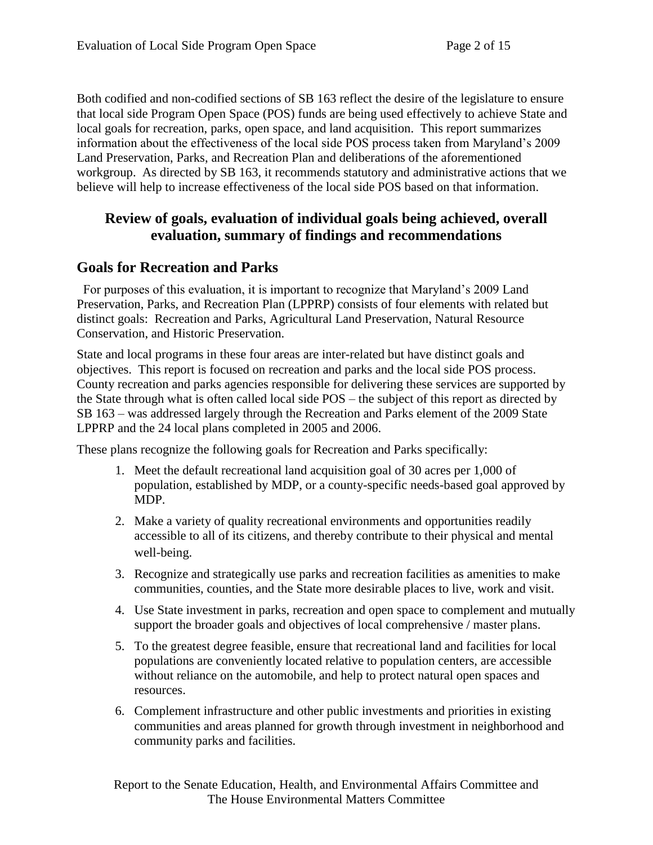Both codified and non-codified sections of SB 163 reflect the desire of the legislature to ensure that local side Program Open Space (POS) funds are being used effectively to achieve State and local goals for recreation, parks, open space, and land acquisition. This report summarizes information about the effectiveness of the local side POS process taken from Maryland's 2009 Land Preservation, Parks, and Recreation Plan and deliberations of the aforementioned workgroup. As directed by SB 163, it recommends statutory and administrative actions that we believe will help to increase effectiveness of the local side POS based on that information.

# **Review of goals, evaluation of individual goals being achieved, overall evaluation, summary of findings and recommendations**

### **Goals for Recreation and Parks**

 For purposes of this evaluation, it is important to recognize that Maryland's 2009 Land Preservation, Parks, and Recreation Plan (LPPRP) consists of four elements with related but distinct goals: Recreation and Parks, Agricultural Land Preservation, Natural Resource Conservation, and Historic Preservation.

State and local programs in these four areas are inter-related but have distinct goals and objectives. This report is focused on recreation and parks and the local side POS process. County recreation and parks agencies responsible for delivering these services are supported by the State through what is often called local side POS – the subject of this report as directed by SB 163 – was addressed largely through the Recreation and Parks element of the 2009 State LPPRP and the 24 local plans completed in 2005 and 2006.

These plans recognize the following goals for Recreation and Parks specifically:

- 1. Meet the default recreational land acquisition goal of 30 acres per 1,000 of population, established by MDP, or a county-specific needs-based goal approved by MDP.
- 2. Make a variety of quality recreational environments and opportunities readily accessible to all of its citizens, and thereby contribute to their physical and mental well-being.
- 3. Recognize and strategically use parks and recreation facilities as amenities to make communities, counties, and the State more desirable places to live, work and visit.
- 4. Use State investment in parks, recreation and open space to complement and mutually support the broader goals and objectives of local comprehensive / master plans.
- 5. To the greatest degree feasible, ensure that recreational land and facilities for local populations are conveniently located relative to population centers, are accessible without reliance on the automobile, and help to protect natural open spaces and resources.
- 6. Complement infrastructure and other public investments and priorities in existing communities and areas planned for growth through investment in neighborhood and community parks and facilities.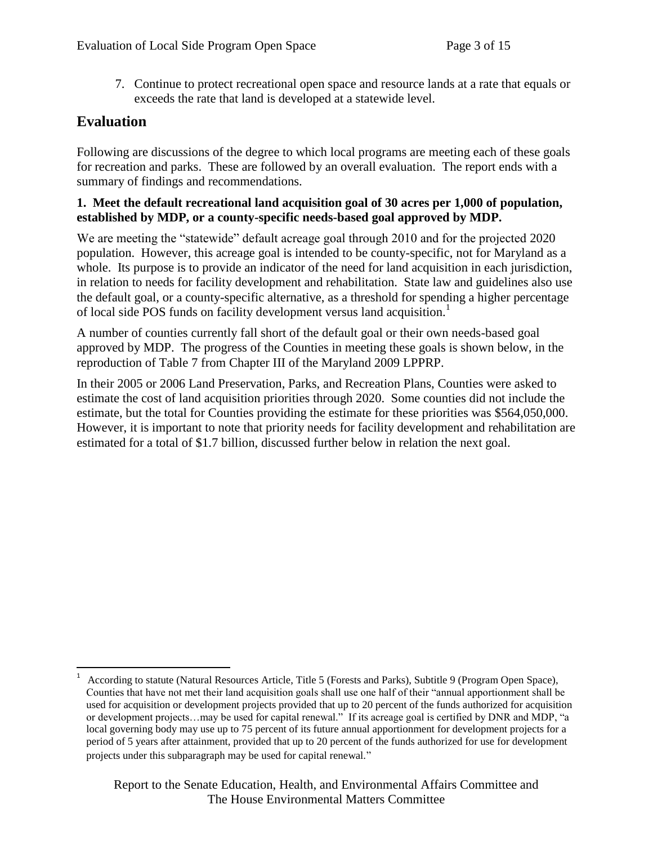7. Continue to protect recreational open space and resource lands at a rate that equals or exceeds the rate that land is developed at a statewide level.

# **Evaluation**

Following are discussions of the degree to which local programs are meeting each of these goals for recreation and parks. These are followed by an overall evaluation. The report ends with a summary of findings and recommendations.

#### **1. Meet the default recreational land acquisition goal of 30 acres per 1,000 of population, established by MDP, or a county-specific needs-based goal approved by MDP.**

We are meeting the "statewide" default acreage goal through 2010 and for the projected 2020 population. However, this acreage goal is intended to be county-specific, not for Maryland as a whole. Its purpose is to provide an indicator of the need for land acquisition in each jurisdiction, in relation to needs for facility development and rehabilitation. State law and guidelines also use the default goal, or a county-specific alternative, as a threshold for spending a higher percentage of local side POS funds on facility development versus land acquisition.<sup>1</sup>

A number of counties currently fall short of the default goal or their own needs-based goal approved by MDP. The progress of the Counties in meeting these goals is shown below, in the reproduction of Table 7 from Chapter III of the Maryland 2009 LPPRP.

In their 2005 or 2006 Land Preservation, Parks, and Recreation Plans, Counties were asked to estimate the cost of land acquisition priorities through 2020. Some counties did not include the estimate, but the total for Counties providing the estimate for these priorities was \$564,050,000. However, it is important to note that priority needs for facility development and rehabilitation are estimated for a total of \$1.7 billion, discussed further below in relation the next goal.

 $\overline{a}$ 1 According to statute (Natural Resources Article, Title 5 (Forests and Parks), Subtitle 9 (Program Open Space), Counties that have not met their land acquisition goals shall use one half of their "annual apportionment shall be used for acquisition or development projects provided that up to 20 percent of the funds authorized for acquisition or development projects…may be used for capital renewal." If its acreage goal is certified by DNR and MDP, "a local governing body may use up to 75 percent of its future annual apportionment for development projects for a period of 5 years after attainment, provided that up to 20 percent of the funds authorized for use for development projects under this subparagraph may be used for capital renewal."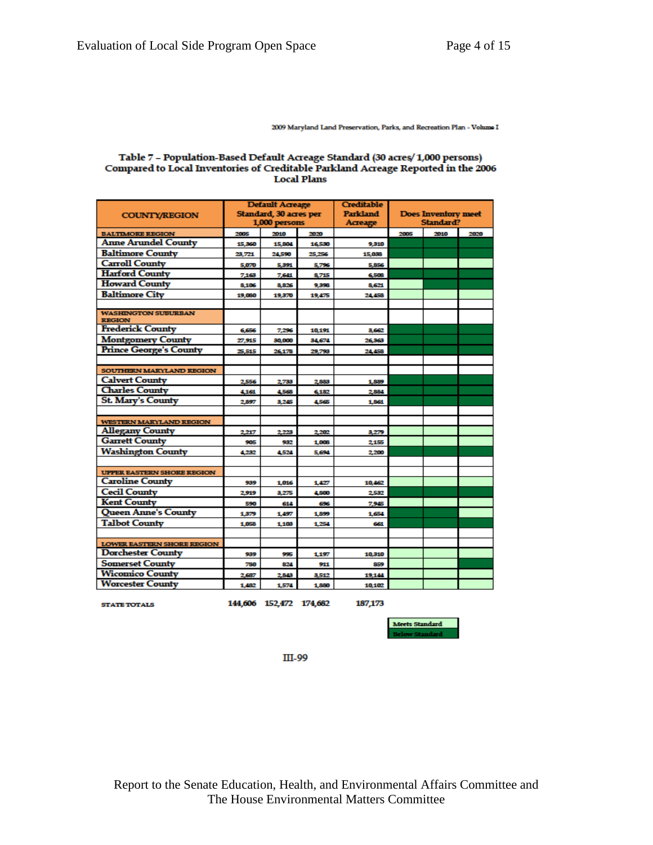2009 Maryland Land Preservation, Parks, and Recreation Plan - Volume I

#### Table 7 - Population-Based Default Acreage Standard (30 acres/1,000 persons) Compared to Local Inventories of Creditable Parkland Acreage Reported in the 2006 **Local Plans**

|                                             | <b>Default Acreage</b> |        |        | <b>Creditable</b> | <b>Does Inventory meet</b> |      |      |
|---------------------------------------------|------------------------|--------|--------|-------------------|----------------------------|------|------|
| <b>COUNTY/REGION</b>                        | Standard, 30 acres per |        |        | <b>Parkland</b>   |                            |      |      |
|                                             | 1,000 persons          |        |        | Acreage           | Standard?                  |      |      |
| <b>BALTIMORE REGION</b>                     | 2005                   | 2010   | 2020   |                   | 2005                       | 2010 | 2020 |
| <b>Anne Arundel County</b>                  | 15,360                 | 15,804 | 16,530 | 9,310             |                            |      |      |
| <b>Baltimore County</b>                     | 23,721                 | 24,590 | 25,256 | 15,036            |                            |      |      |
| <b>Carroll County</b>                       | 5,070                  | 5,391  | 5,796  | 5,856             |                            |      |      |
| <b>Harford County</b>                       | 7,163                  | 7,641  | 8,715  | 6,503             |                            |      |      |
| <b>Howard County</b>                        | 8,106                  | 8,826  | 9,398  | 8,621             |                            |      |      |
| <b>Baltimore City</b>                       | 19,080                 | 19,370 | 19.475 | 24,458            |                            |      |      |
|                                             |                        |        |        |                   |                            |      |      |
| <b>WASHINGTON SUBURBAN</b><br><b>REGION</b> |                        |        |        |                   |                            |      |      |
| <b>Frederick County</b>                     | 6,656                  | 7,296  | 10,191 | 3,662             |                            |      |      |
| <b>Montgomery County</b>                    | 27,915                 | 30,000 | 34,674 | 26,363            |                            |      |      |
| <b>Prince George's County</b>               | 25,515                 | 26,178 | 29,798 | 24,458            |                            |      |      |
|                                             |                        |        |        |                   |                            |      |      |
| <b>SOUTHERN MARYLAND REGION</b>             |                        |        |        |                   |                            |      |      |
| <b>Calvert County</b>                       | 2,556                  | 2,733  | 2,883  | 1,889             |                            |      |      |
| <b>Charles County</b>                       | 4,161                  | 4,568  | 6,182  | 2.884             |                            |      |      |
| <b>St. Mary's County</b>                    | 2.897                  | 3,245  | 4.565  | 1,861             |                            |      |      |
|                                             |                        |        |        |                   |                            |      |      |
| <b>WESTERN MARYLAND REGION</b>              |                        |        |        |                   |                            |      |      |
| <b>Allegany County</b>                      | 2.217                  | 2,223  | 2.202  | 3,279             |                            |      |      |
| <b>Garrett County</b>                       | 905                    | 932    | 1,008  | 2,155             |                            |      |      |
| <b>Washington County</b>                    | 4,232                  | 4,524  | 5,694  | 2,200             |                            |      |      |
|                                             |                        |        |        |                   |                            |      |      |
| <b>UPPER EASTERN SHORE REGION</b>           |                        |        |        |                   |                            |      |      |
| <b>Caroline County</b>                      | 939                    | 1,016  | 1,427  | 10,462            |                            |      |      |
| <b>Cecil County</b>                         | 2,919                  | 3.275  | 4.800  | 2.532             |                            |      |      |
| <b>Kent County</b>                          | 590                    | 614    | 696    | 7,945             |                            |      |      |
| <b>Queen Anne's County</b>                  | 1,379                  | 1,457  | 1,899  | 1,654             |                            |      |      |
| <b>Talbot County</b>                        | 1,058                  | 1.103  | 1.254  | 661               |                            |      |      |
|                                             |                        |        |        |                   |                            |      |      |
| <b>LOWER BASTERN SHORE REGION</b>           |                        |        |        |                   |                            |      |      |
| <b>Dorchester County</b>                    | 939                    | 995    | 1.197  | 10,310            |                            |      |      |
| <b>Somerset County</b>                      | 780                    | 824    | 911    | 859               |                            |      |      |
| <b>Wicomico County</b>                      | 2,687                  | 2,843  | 3,512  | 19,144            |                            |      |      |
| <b>Worcester County</b>                     | 1,482                  | 1,574  | 1,880  | 10,102            |                            |      |      |

**STATE TOTALS** 

144,606 152,472 174,682

187,173



III-99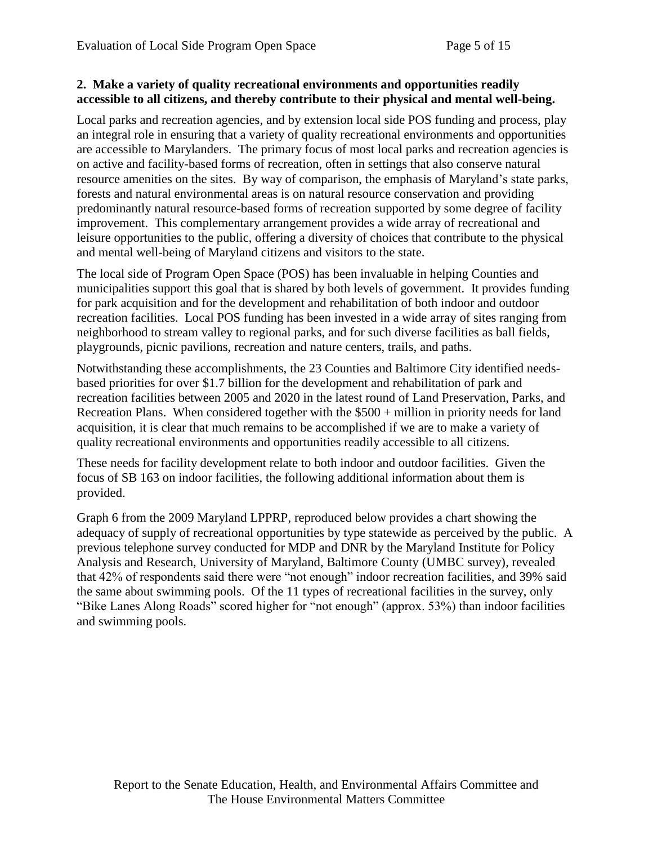#### **2. Make a variety of quality recreational environments and opportunities readily accessible to all citizens, and thereby contribute to their physical and mental well-being.**

Local parks and recreation agencies, and by extension local side POS funding and process, play an integral role in ensuring that a variety of quality recreational environments and opportunities are accessible to Marylanders. The primary focus of most local parks and recreation agencies is on active and facility-based forms of recreation, often in settings that also conserve natural resource amenities on the sites. By way of comparison, the emphasis of Maryland's state parks, forests and natural environmental areas is on natural resource conservation and providing predominantly natural resource-based forms of recreation supported by some degree of facility improvement. This complementary arrangement provides a wide array of recreational and leisure opportunities to the public, offering a diversity of choices that contribute to the physical and mental well-being of Maryland citizens and visitors to the state.

The local side of Program Open Space (POS) has been invaluable in helping Counties and municipalities support this goal that is shared by both levels of government. It provides funding for park acquisition and for the development and rehabilitation of both indoor and outdoor recreation facilities. Local POS funding has been invested in a wide array of sites ranging from neighborhood to stream valley to regional parks, and for such diverse facilities as ball fields, playgrounds, picnic pavilions, recreation and nature centers, trails, and paths.

Notwithstanding these accomplishments, the 23 Counties and Baltimore City identified needsbased priorities for over \$1.7 billion for the development and rehabilitation of park and recreation facilities between 2005 and 2020 in the latest round of Land Preservation, Parks, and Recreation Plans. When considered together with the  $$500 + million$  in priority needs for land acquisition, it is clear that much remains to be accomplished if we are to make a variety of quality recreational environments and opportunities readily accessible to all citizens.

These needs for facility development relate to both indoor and outdoor facilities. Given the focus of SB 163 on indoor facilities, the following additional information about them is provided.

Graph 6 from the 2009 Maryland LPPRP, reproduced below provides a chart showing the adequacy of supply of recreational opportunities by type statewide as perceived by the public. A previous telephone survey conducted for MDP and DNR by the Maryland Institute for Policy Analysis and Research, University of Maryland, Baltimore County (UMBC survey), revealed that 42% of respondents said there were "not enough" indoor recreation facilities, and 39% said the same about swimming pools. Of the 11 types of recreational facilities in the survey, only "Bike Lanes Along Roads" scored higher for "not enough" (approx. 53%) than indoor facilities and swimming pools.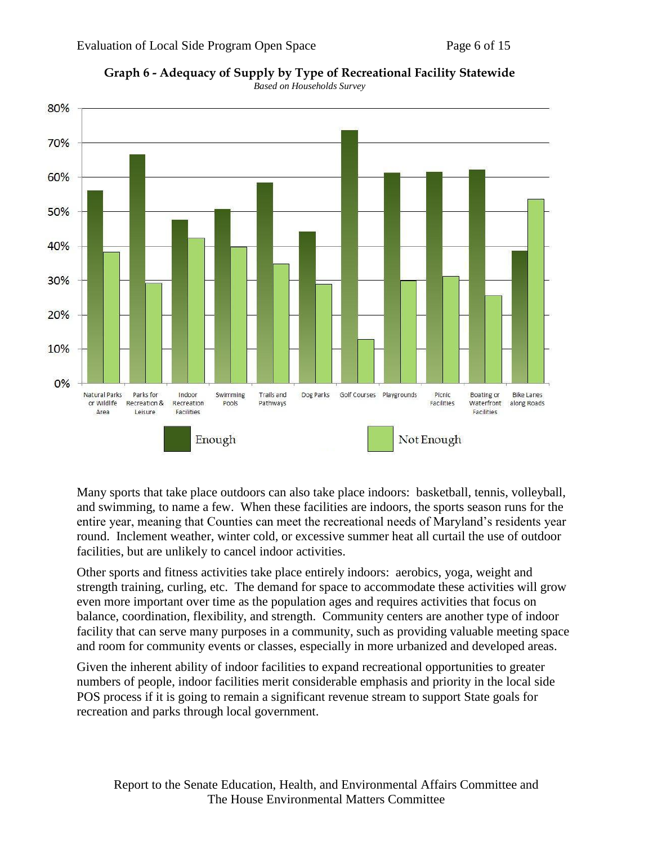



Many sports that take place outdoors can also take place indoors: basketball, tennis, volleyball, and swimming, to name a few. When these facilities are indoors, the sports season runs for the entire year, meaning that Counties can meet the recreational needs of Maryland's residents year round. Inclement weather, winter cold, or excessive summer heat all curtail the use of outdoor facilities, but are unlikely to cancel indoor activities.

Other sports and fitness activities take place entirely indoors: aerobics, yoga, weight and strength training, curling, etc. The demand for space to accommodate these activities will grow even more important over time as the population ages and requires activities that focus on balance, coordination, flexibility, and strength. Community centers are another type of indoor facility that can serve many purposes in a community, such as providing valuable meeting space and room for community events or classes, especially in more urbanized and developed areas.

Given the inherent ability of indoor facilities to expand recreational opportunities to greater numbers of people, indoor facilities merit considerable emphasis and priority in the local side POS process if it is going to remain a significant revenue stream to support State goals for recreation and parks through local government.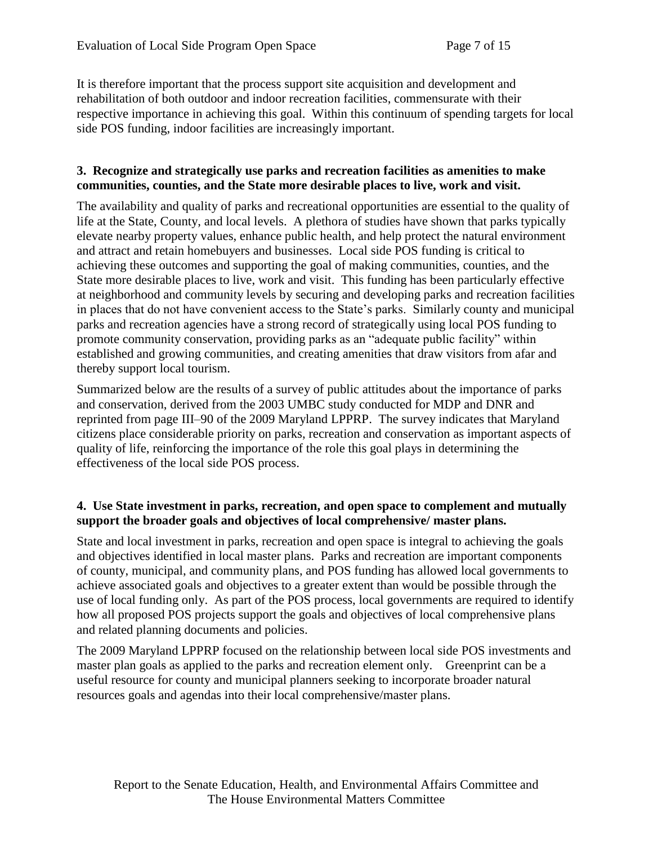It is therefore important that the process support site acquisition and development and rehabilitation of both outdoor and indoor recreation facilities, commensurate with their respective importance in achieving this goal. Within this continuum of spending targets for local side POS funding, indoor facilities are increasingly important.

#### **3. Recognize and strategically use parks and recreation facilities as amenities to make communities, counties, and the State more desirable places to live, work and visit.**

The availability and quality of parks and recreational opportunities are essential to the quality of life at the State, County, and local levels. A plethora of studies have shown that parks typically elevate nearby property values, enhance public health, and help protect the natural environment and attract and retain homebuyers and businesses. Local side POS funding is critical to achieving these outcomes and supporting the goal of making communities, counties, and the State more desirable places to live, work and visit. This funding has been particularly effective at neighborhood and community levels by securing and developing parks and recreation facilities in places that do not have convenient access to the State's parks. Similarly county and municipal parks and recreation agencies have a strong record of strategically using local POS funding to promote community conservation, providing parks as an "adequate public facility" within established and growing communities, and creating amenities that draw visitors from afar and thereby support local tourism.

Summarized below are the results of a survey of public attitudes about the importance of parks and conservation, derived from the 2003 UMBC study conducted for MDP and DNR and reprinted from page III–90 of the 2009 Maryland LPPRP. The survey indicates that Maryland citizens place considerable priority on parks, recreation and conservation as important aspects of quality of life, reinforcing the importance of the role this goal plays in determining the effectiveness of the local side POS process.

#### **4. Use State investment in parks, recreation, and open space to complement and mutually support the broader goals and objectives of local comprehensive/ master plans.**

State and local investment in parks, recreation and open space is integral to achieving the goals and objectives identified in local master plans. Parks and recreation are important components of county, municipal, and community plans, and POS funding has allowed local governments to achieve associated goals and objectives to a greater extent than would be possible through the use of local funding only. As part of the POS process, local governments are required to identify how all proposed POS projects support the goals and objectives of local comprehensive plans and related planning documents and policies.

The 2009 Maryland LPPRP focused on the relationship between local side POS investments and master plan goals as applied to the parks and recreation element only. Greenprint can be a useful resource for county and municipal planners seeking to incorporate broader natural resources goals and agendas into their local comprehensive/master plans.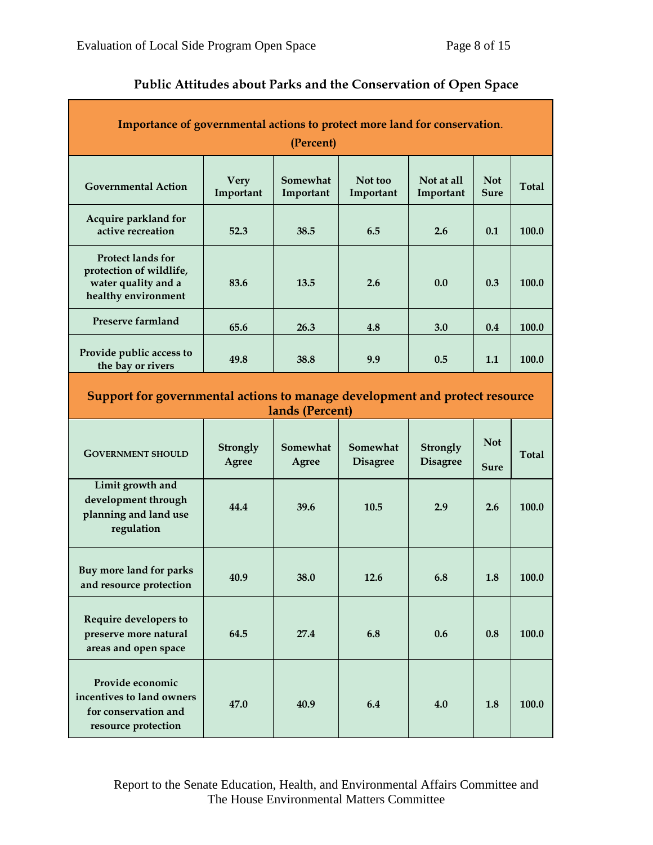| Importance of governmental actions to protect more land for conservation.<br>(Percent)            |                          |                       |                             |                             |                           |              |  |  |  |  |  |
|---------------------------------------------------------------------------------------------------|--------------------------|-----------------------|-----------------------------|-----------------------------|---------------------------|--------------|--|--|--|--|--|
| <b>Governmental Action</b>                                                                        | <b>Very</b><br>Important | Somewhat<br>Important | Not too<br>Important        | Not at all<br>Important     | <b>Not</b><br><b>Sure</b> | <b>Total</b> |  |  |  |  |  |
| Acquire parkland for<br>active recreation                                                         | 52.3                     | 38.5                  | 6.5                         | 2.6                         | 0.1                       | 100.0        |  |  |  |  |  |
| <b>Protect lands for</b><br>protection of wildlife,<br>water quality and a<br>healthy environment | 83.6                     | 13.5                  | 2.6                         | 0.0                         | 0.3                       | 100.0        |  |  |  |  |  |
| <b>Preserve farmland</b>                                                                          | 65.6                     | 26.3                  | 4.8                         | 3.0                         | 0.4                       | 100.0        |  |  |  |  |  |
| Provide public access to<br>the bay or rivers                                                     | 49.8                     | 38.8                  | 9.9                         | 0.5                         | 1.1                       | 100.0        |  |  |  |  |  |
| Support for governmental actions to manage development and protect resource<br>lands (Percent)    |                          |                       |                             |                             |                           |              |  |  |  |  |  |
|                                                                                                   |                          |                       |                             |                             |                           |              |  |  |  |  |  |
| <b>GOVERNMENT SHOULD</b>                                                                          | Strongly<br>Agree        | Somewhat<br>Agree     | Somewhat<br><b>Disagree</b> | Strongly<br><b>Disagree</b> | <b>Not</b><br><b>Sure</b> | <b>Total</b> |  |  |  |  |  |
| Limit growth and<br>development through<br>planning and land use<br>regulation                    | 44.4                     | 39.6                  | 10.5                        | 2.9                         | 2.6                       | 100.0        |  |  |  |  |  |
| Buy more land for parks<br>and resource protection                                                | 40.9                     | 38.0                  | 12.6                        | 6.8                         | 1.8                       | 100.0        |  |  |  |  |  |
| Require developers to<br>preserve more natural<br>areas and open space                            | 64.5                     | 27.4                  | 6.8                         | 0.6                         | 0.8                       | 100.0        |  |  |  |  |  |

# **Public Attitudes about Parks and the Conservation of Open Space**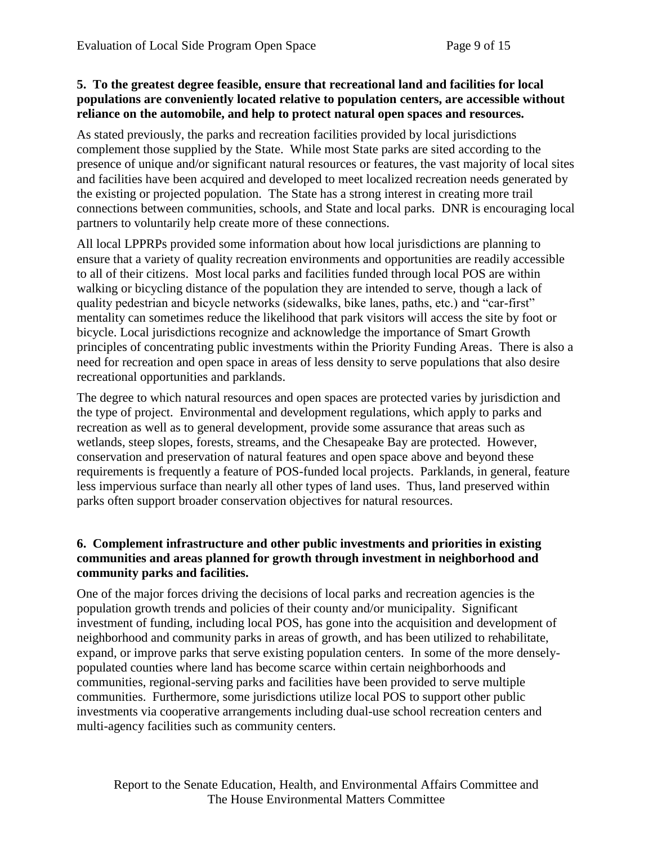### **5. To the greatest degree feasible, ensure that recreational land and facilities for local populations are conveniently located relative to population centers, are accessible without reliance on the automobile, and help to protect natural open spaces and resources.**

As stated previously, the parks and recreation facilities provided by local jurisdictions complement those supplied by the State. While most State parks are sited according to the presence of unique and/or significant natural resources or features, the vast majority of local sites and facilities have been acquired and developed to meet localized recreation needs generated by the existing or projected population. The State has a strong interest in creating more trail connections between communities, schools, and State and local parks. DNR is encouraging local partners to voluntarily help create more of these connections.

All local LPPRPs provided some information about how local jurisdictions are planning to ensure that a variety of quality recreation environments and opportunities are readily accessible to all of their citizens. Most local parks and facilities funded through local POS are within walking or bicycling distance of the population they are intended to serve, though a lack of quality pedestrian and bicycle networks (sidewalks, bike lanes, paths, etc.) and "car-first" mentality can sometimes reduce the likelihood that park visitors will access the site by foot or bicycle. Local jurisdictions recognize and acknowledge the importance of Smart Growth principles of concentrating public investments within the Priority Funding Areas. There is also a need for recreation and open space in areas of less density to serve populations that also desire recreational opportunities and parklands.

The degree to which natural resources and open spaces are protected varies by jurisdiction and the type of project. Environmental and development regulations, which apply to parks and recreation as well as to general development, provide some assurance that areas such as wetlands, steep slopes, forests, streams, and the Chesapeake Bay are protected. However, conservation and preservation of natural features and open space above and beyond these requirements is frequently a feature of POS-funded local projects. Parklands, in general, feature less impervious surface than nearly all other types of land uses. Thus, land preserved within parks often support broader conservation objectives for natural resources.

#### **6. Complement infrastructure and other public investments and priorities in existing communities and areas planned for growth through investment in neighborhood and community parks and facilities.**

One of the major forces driving the decisions of local parks and recreation agencies is the population growth trends and policies of their county and/or municipality. Significant investment of funding, including local POS, has gone into the acquisition and development of neighborhood and community parks in areas of growth, and has been utilized to rehabilitate, expand, or improve parks that serve existing population centers. In some of the more denselypopulated counties where land has become scarce within certain neighborhoods and communities, regional-serving parks and facilities have been provided to serve multiple communities. Furthermore, some jurisdictions utilize local POS to support other public investments via cooperative arrangements including dual-use school recreation centers and multi-agency facilities such as community centers.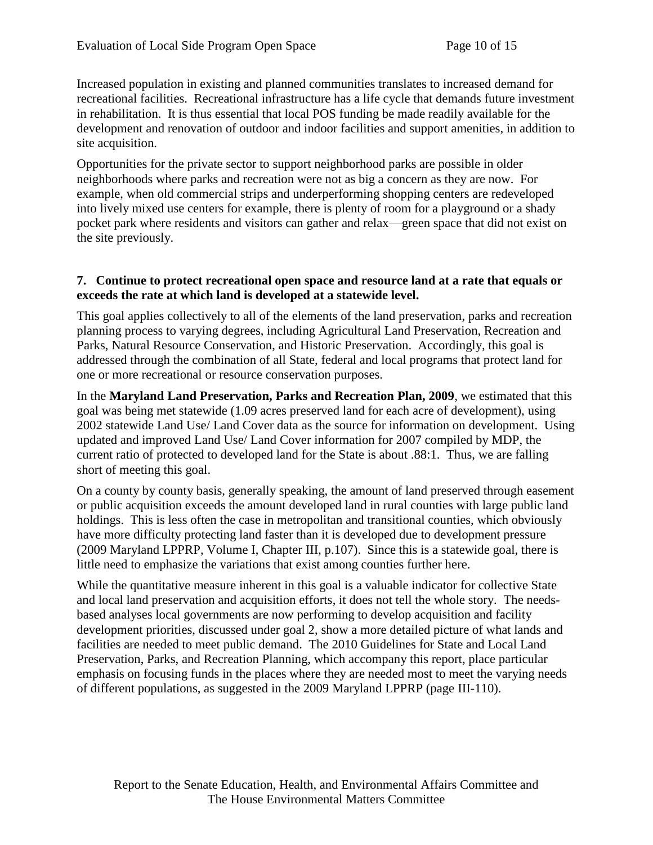Increased population in existing and planned communities translates to increased demand for recreational facilities. Recreational infrastructure has a life cycle that demands future investment in rehabilitation. It is thus essential that local POS funding be made readily available for the development and renovation of outdoor and indoor facilities and support amenities, in addition to site acquisition.

Opportunities for the private sector to support neighborhood parks are possible in older neighborhoods where parks and recreation were not as big a concern as they are now. For example, when old commercial strips and underperforming shopping centers are redeveloped into lively mixed use centers for example, there is plenty of room for a playground or a shady pocket park where residents and visitors can gather and relax—green space that did not exist on the site previously.

#### **7. Continue to protect recreational open space and resource land at a rate that equals or exceeds the rate at which land is developed at a statewide level.**

This goal applies collectively to all of the elements of the land preservation, parks and recreation planning process to varying degrees, including Agricultural Land Preservation, Recreation and Parks, Natural Resource Conservation, and Historic Preservation. Accordingly, this goal is addressed through the combination of all State, federal and local programs that protect land for one or more recreational or resource conservation purposes.

In the **Maryland Land Preservation, Parks and Recreation Plan, 2009**, we estimated that this goal was being met statewide (1.09 acres preserved land for each acre of development), using 2002 statewide Land Use/ Land Cover data as the source for information on development. Using updated and improved Land Use/ Land Cover information for 2007 compiled by MDP, the current ratio of protected to developed land for the State is about .88:1. Thus, we are falling short of meeting this goal.

On a county by county basis, generally speaking, the amount of land preserved through easement or public acquisition exceeds the amount developed land in rural counties with large public land holdings. This is less often the case in metropolitan and transitional counties, which obviously have more difficulty protecting land faster than it is developed due to development pressure (2009 Maryland LPPRP, Volume I, Chapter III, p.107). Since this is a statewide goal, there is little need to emphasize the variations that exist among counties further here.

While the quantitative measure inherent in this goal is a valuable indicator for collective State and local land preservation and acquisition efforts, it does not tell the whole story. The needsbased analyses local governments are now performing to develop acquisition and facility development priorities, discussed under goal 2, show a more detailed picture of what lands and facilities are needed to meet public demand. The 2010 Guidelines for State and Local Land Preservation, Parks, and Recreation Planning, which accompany this report, place particular emphasis on focusing funds in the places where they are needed most to meet the varying needs of different populations, as suggested in the 2009 Maryland LPPRP (page III-110).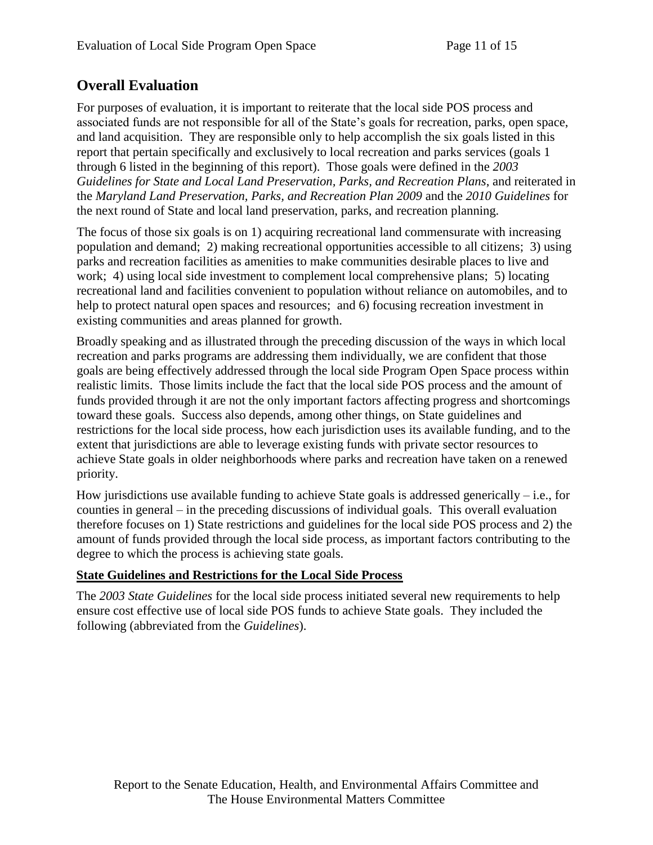# **Overall Evaluation**

For purposes of evaluation, it is important to reiterate that the local side POS process and associated funds are not responsible for all of the State's goals for recreation, parks, open space, and land acquisition. They are responsible only to help accomplish the six goals listed in this report that pertain specifically and exclusively to local recreation and parks services (goals 1 through 6 listed in the beginning of this report). Those goals were defined in the *2003 Guidelines for State and Local Land Preservation, Parks, and Recreation Plans*, and reiterated in the *Maryland Land Preservation, Parks, and Recreation Plan 2009* and the *2010 Guidelines* for the next round of State and local land preservation, parks, and recreation planning.

The focus of those six goals is on 1) acquiring recreational land commensurate with increasing population and demand; 2) making recreational opportunities accessible to all citizens; 3) using parks and recreation facilities as amenities to make communities desirable places to live and work; 4) using local side investment to complement local comprehensive plans; 5) locating recreational land and facilities convenient to population without reliance on automobiles, and to help to protect natural open spaces and resources; and 6) focusing recreation investment in existing communities and areas planned for growth.

Broadly speaking and as illustrated through the preceding discussion of the ways in which local recreation and parks programs are addressing them individually, we are confident that those goals are being effectively addressed through the local side Program Open Space process within realistic limits. Those limits include the fact that the local side POS process and the amount of funds provided through it are not the only important factors affecting progress and shortcomings toward these goals. Success also depends, among other things, on State guidelines and restrictions for the local side process, how each jurisdiction uses its available funding, and to the extent that jurisdictions are able to leverage existing funds with private sector resources to achieve State goals in older neighborhoods where parks and recreation have taken on a renewed priority.

How jurisdictions use available funding to achieve State goals is addressed generically  $-$  i.e., for counties in general – in the preceding discussions of individual goals. This overall evaluation therefore focuses on 1) State restrictions and guidelines for the local side POS process and 2) the amount of funds provided through the local side process, as important factors contributing to the degree to which the process is achieving state goals.

### **State Guidelines and Restrictions for the Local Side Process**

The *2003 State Guidelines* for the local side process initiated several new requirements to help ensure cost effective use of local side POS funds to achieve State goals. They included the following (abbreviated from the *Guidelines*).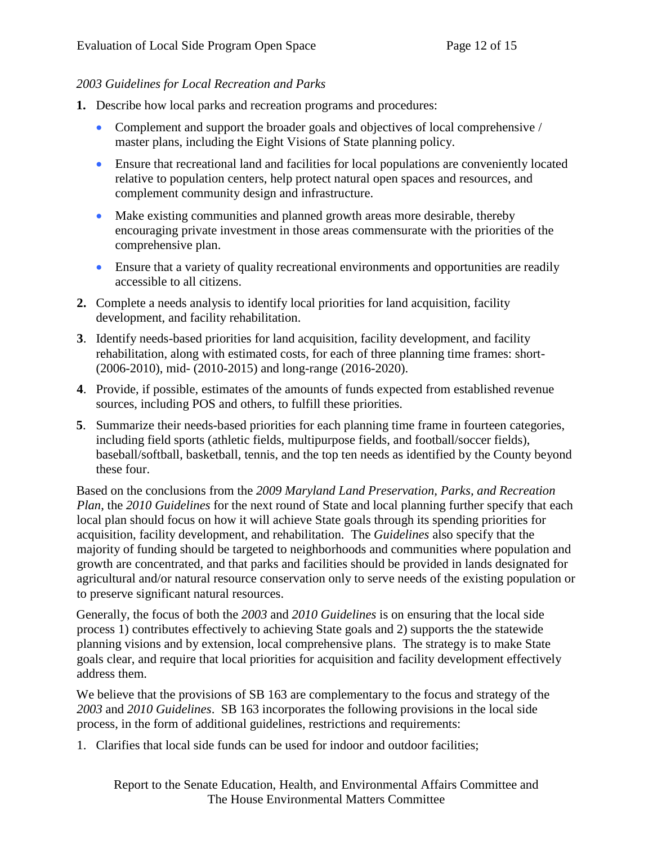### *2003 Guidelines for Local Recreation and Parks*

- **1.** Describe how local parks and recreation programs and procedures:
	- Complement and support the broader goals and objectives of local comprehensive / master plans, including the Eight Visions of State planning policy.
	- Ensure that recreational land and facilities for local populations are conveniently located relative to population centers, help protect natural open spaces and resources, and complement community design and infrastructure.
	- Make existing communities and planned growth areas more desirable, thereby encouraging private investment in those areas commensurate with the priorities of the comprehensive plan.
	- Ensure that a variety of quality recreational environments and opportunities are readily accessible to all citizens.
- **2.** Complete a needs analysis to identify local priorities for land acquisition, facility development, and facility rehabilitation.
- **3**. Identify needs-based priorities for land acquisition, facility development, and facility rehabilitation, along with estimated costs, for each of three planning time frames: short- (2006-2010), mid- (2010-2015) and long-range (2016-2020).
- **4**. Provide, if possible, estimates of the amounts of funds expected from established revenue sources, including POS and others, to fulfill these priorities.
- **5**. Summarize their needs-based priorities for each planning time frame in fourteen categories, including field sports (athletic fields, multipurpose fields, and football/soccer fields), baseball/softball, basketball, tennis, and the top ten needs as identified by the County beyond these four.

Based on the conclusions from the *2009 Maryland Land Preservation, Parks, and Recreation Plan*, the *2010 Guidelines* for the next round of State and local planning further specify that each local plan should focus on how it will achieve State goals through its spending priorities for acquisition, facility development, and rehabilitation. The *Guidelines* also specify that the majority of funding should be targeted to neighborhoods and communities where population and growth are concentrated, and that parks and facilities should be provided in lands designated for agricultural and/or natural resource conservation only to serve needs of the existing population or to preserve significant natural resources.

Generally, the focus of both the *2003* and *2010 Guidelines* is on ensuring that the local side process 1) contributes effectively to achieving State goals and 2) supports the the statewide planning visions and by extension, local comprehensive plans. The strategy is to make State goals clear, and require that local priorities for acquisition and facility development effectively address them.

We believe that the provisions of SB 163 are complementary to the focus and strategy of the *2003* and *2010 Guidelines*. SB 163 incorporates the following provisions in the local side process, in the form of additional guidelines, restrictions and requirements:

1. Clarifies that local side funds can be used for indoor and outdoor facilities;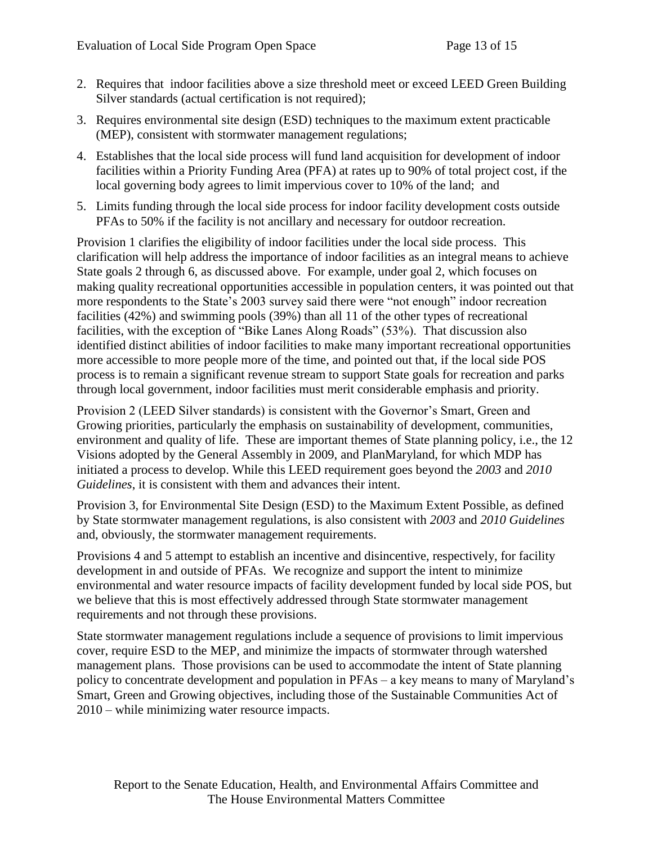- 2. Requires that indoor facilities above a size threshold meet or exceed LEED Green Building Silver standards (actual certification is not required);
- 3. Requires environmental site design (ESD) techniques to the maximum extent practicable (MEP), consistent with stormwater management regulations;
- 4. Establishes that the local side process will fund land acquisition for development of indoor facilities within a Priority Funding Area (PFA) at rates up to 90% of total project cost, if the local governing body agrees to limit impervious cover to 10% of the land; and
- 5. Limits funding through the local side process for indoor facility development costs outside PFAs to 50% if the facility is not ancillary and necessary for outdoor recreation.

Provision 1 clarifies the eligibility of indoor facilities under the local side process. This clarification will help address the importance of indoor facilities as an integral means to achieve State goals 2 through 6, as discussed above. For example, under goal 2, which focuses on making quality recreational opportunities accessible in population centers, it was pointed out that more respondents to the State's 2003 survey said there were "not enough" indoor recreation facilities (42%) and swimming pools (39%) than all 11 of the other types of recreational facilities, with the exception of "Bike Lanes Along Roads" (53%). That discussion also identified distinct abilities of indoor facilities to make many important recreational opportunities more accessible to more people more of the time, and pointed out that, if the local side POS process is to remain a significant revenue stream to support State goals for recreation and parks through local government, indoor facilities must merit considerable emphasis and priority.

Provision 2 (LEED Silver standards) is consistent with the Governor's Smart, Green and Growing priorities, particularly the emphasis on sustainability of development, communities, environment and quality of life. These are important themes of State planning policy, i.e., the 12 Visions adopted by the General Assembly in 2009, and PlanMaryland, for which MDP has initiated a process to develop. While this LEED requirement goes beyond the *2003* and *2010 Guidelines*, it is consistent with them and advances their intent.

Provision 3, for Environmental Site Design (ESD) to the Maximum Extent Possible, as defined by State stormwater management regulations, is also consistent with *2003* and *2010 Guidelines* and, obviously, the stormwater management requirements.

Provisions 4 and 5 attempt to establish an incentive and disincentive, respectively, for facility development in and outside of PFAs. We recognize and support the intent to minimize environmental and water resource impacts of facility development funded by local side POS, but we believe that this is most effectively addressed through State stormwater management requirements and not through these provisions.

State stormwater management regulations include a sequence of provisions to limit impervious cover, require ESD to the MEP, and minimize the impacts of stormwater through watershed management plans. Those provisions can be used to accommodate the intent of State planning policy to concentrate development and population in PFAs – a key means to many of Maryland's Smart, Green and Growing objectives, including those of the Sustainable Communities Act of 2010 – while minimizing water resource impacts.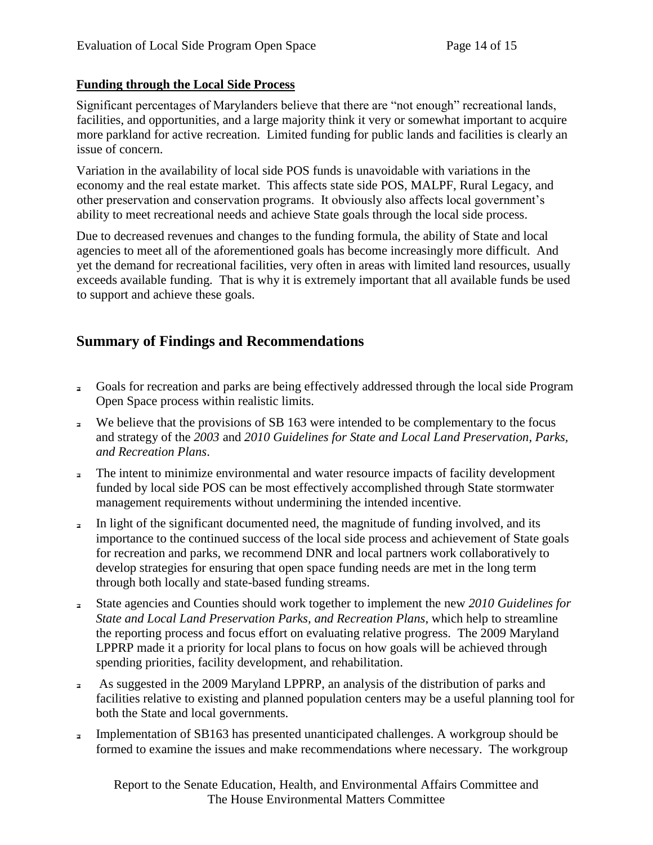### **Funding through the Local Side Process**

Significant percentages of Marylanders believe that there are "not enough" recreational lands, facilities, and opportunities, and a large majority think it very or somewhat important to acquire more parkland for active recreation. Limited funding for public lands and facilities is clearly an issue of concern.

Variation in the availability of local side POS funds is unavoidable with variations in the economy and the real estate market. This affects state side POS, MALPF, Rural Legacy, and other preservation and conservation programs. It obviously also affects local government's ability to meet recreational needs and achieve State goals through the local side process.

Due to decreased revenues and changes to the funding formula, the ability of State and local agencies to meet all of the aforementioned goals has become increasingly more difficult. And yet the demand for recreational facilities, very often in areas with limited land resources, usually exceeds available funding. That is why it is extremely important that all available funds be used to support and achieve these goals.

## **Summary of Findings and Recommendations**

- Goals for recreation and parks are being effectively addressed through the local side Program  $\overline{a}$ Open Space process within realistic limits.
- We believe that the provisions of SB 163 were intended to be complementary to the focus  $\overline{a}$ and strategy of the *2003* and *2010 Guidelines for State and Local Land Preservation, Parks, and Recreation Plans*.
- The intent to minimize environmental and water resource impacts of facility development  $\mathbf{a}$ funded by local side POS can be most effectively accomplished through State stormwater management requirements without undermining the intended incentive.
- In light of the significant documented need, the magnitude of funding involved, and its  $\overline{a}$ importance to the continued success of the local side process and achievement of State goals for recreation and parks, we recommend DNR and local partners work collaboratively to develop strategies for ensuring that open space funding needs are met in the long term through both locally and state-based funding streams.
- State agencies and Counties should work together to implement the new *2010 Guidelines for*   $\overline{\mathbf{a}}$ *State and Local Land Preservation Parks, and Recreation Plans*, which help to streamline the reporting process and focus effort on evaluating relative progress. The 2009 Maryland LPPRP made it a priority for local plans to focus on how goals will be achieved through spending priorities, facility development, and rehabilitation.
- As suggested in the 2009 Maryland LPPRP, an analysis of the distribution of parks and  $\overline{a}$ . facilities relative to existing and planned population centers may be a useful planning tool for both the State and local governments.
- Implementation of SB163 has presented unanticipated challenges. A workgroup should be  $\overline{a}$ formed to examine the issues and make recommendations where necessary. The workgroup